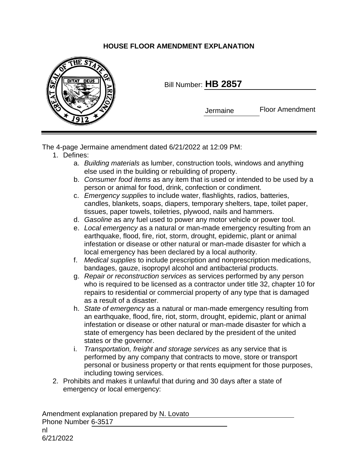## **HOUSE FLOOR AMENDMENT EXPLANATION**



Bill Number: **HB 2857**

Jermaine

Floor Amendment

The 4-page Jermaine amendment dated 6/21/2022 at 12:09 PM:

- 1. Defines:
	- a. *Building materials* as lumber, construction tools, windows and anything else used in the building or rebuilding of property.
	- b. *Consumer food items* as any item that is used or intended to be used by a person or animal for food, drink, confection or condiment.
	- c. *Emergency supplies* to include water, flashlights, radios, batteries, candles, blankets, soaps, diapers, temporary shelters, tape, toilet paper, tissues, paper towels, toiletries, plywood, nails and hammers.
	- d. *Gasoline* as any fuel used to power any motor vehicle or power tool.
	- e. *Local emergency* as a natural or man-made emergency resulting from an earthquake, flood, fire, riot, storm, drought, epidemic, plant or animal infestation or disease or other natural or man-made disaster for which a local emergency has been declared by a local authority.
	- f. *Medical supplies* to include prescription and nonprescription medications, bandages, gauze, isopropyl alcohol and antibacterial products.
	- g. *Repair or reconstruction services* as services performed by any person who is required to be licensed as a contractor under title 32, chapter 10 for repairs to residential or commercial property of any type that is damaged as a result of a disaster.
	- h. *State of emergency* as a natural or man-made emergency resulting from an earthquake, flood, fire, riot, storm, drought, epidemic, plant or animal infestation or disease or other natural or man-made disaster for which a state of emergency has been declared by the president of the united states or the governor.
	- i. *Transportation, freight and storage services* as any service that is performed by any company that contracts to move, store or transport personal or business property or that rents equipment for those purposes, including towing services.
- 2. Prohibits and makes it unlawful that during and 30 days after a state of emergency or local emergency:

Amendment explanation prepared by N. Lovato Phone Number 6-3517 nl 6/21/2022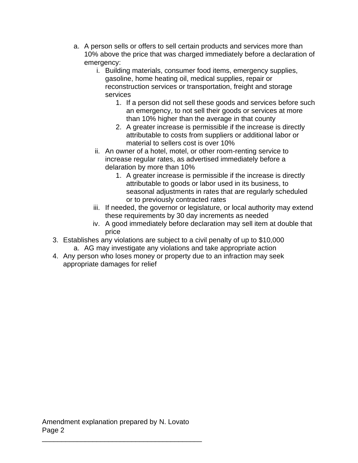- a. A person sells or offers to sell certain products and services more than 10% above the price that was charged immediately before a declaration of emergency:
	- i. Building materials, consumer food items, emergency supplies, gasoline, home heating oil, medical supplies, repair or reconstruction services or transportation, freight and storage services
		- 1. If a person did not sell these goods and services before such an emergency, to not sell their goods or services at more than 10% higher than the average in that county
		- 2. A greater increase is permissible if the increase is directly attributable to costs from suppliers or additional labor or material to sellers cost is over 10%
	- ii. An owner of a hotel, motel, or other room-renting service to increase regular rates, as advertised immediately before a delaration by more than 10%
		- 1. A greater increase is permissible if the increase is directly attributable to goods or labor used in its business, to seasonal adjustments in rates that are regularly scheduled or to previously contracted rates
	- iii. If needed, the governor or legislature, or local authority may extend these requirements by 30 day increments as needed
	- iv. A good immediately before declaration may sell item at double that price
- 3. Establishes any violations are subject to a civil penalty of up to \$10,000 a. AG may investigate any violations and take appropriate action
- 4. Any person who loses money or property due to an infraction may seek appropriate damages for relief

\_\_\_\_\_\_\_\_\_\_\_\_\_\_\_\_\_\_\_\_\_\_\_\_\_\_\_\_\_\_\_\_\_\_\_\_\_\_\_\_\_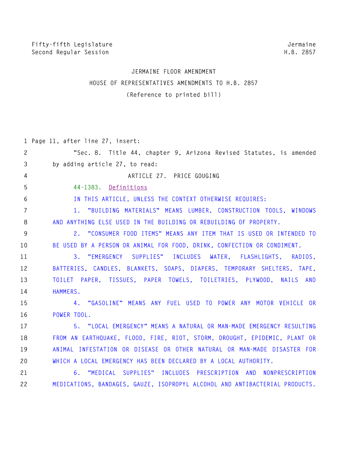Jermaine H.B. 2857

# JERMAINE FLOOR AMENDMENT HOUSE OF REPRESENTATIVES AMENDMENTS TO H.B. 2857 (Reference to printed bill)

|                       | 1 Page 11, after line 27, insert:                                           |
|-----------------------|-----------------------------------------------------------------------------|
| $\mathbf{2}^{\prime}$ | "Sec. 8. Title 44, chapter 9, Arizona Revised Statutes, is amended          |
| 3                     | by adding article 27, to read:                                              |
| $\overline{4}$        | ARTICLE 27. PRICE GOUGING                                                   |
| 5                     | 44-1383. Definitions                                                        |
| 6                     | IN THIS ARTICLE, UNLESS THE CONTEXT OTHERWISE REQUIRES:                     |
| 7                     | 1. "BUILDING MATERIALS" MEANS LUMBER, CONSTRUCTION TOOLS, WINDOWS           |
| 8                     | AND ANYTHING ELSE USED IN THE BUILDING OR REBUILDING OF PROPERTY.           |
| 9                     | 2. "CONSUMER FOOD ITEMS" MEANS ANY ITEM THAT IS USED OR INTENDED TO         |
| 10                    | BE USED BY A PERSON OR ANIMAL FOR FOOD, DRINK, CONFECTION OR CONDIMENT.     |
| 11                    | 3. "EMERGENCY SUPPLIES" INCLUDES WATER, FLASHLIGHTS, RADIOS,                |
| 12                    | BATTERIES, CANDLES, BLANKETS, SOAPS, DIAPERS, TEMPORARY SHELTERS, TAPE,     |
| 13                    | TOILET PAPER, TISSUES, PAPER TOWELS, TOILETRIES, PLYWOOD, NAILS AND         |
| 14                    | HAMMERS.                                                                    |
| 15                    | 4. "GASOLINE" MEANS ANY FUEL USED TO POWER ANY MOTOR VEHICLE OR             |
| 16                    | POWER TOOL.                                                                 |
| 17                    | 5. "LOCAL EMERGENCY" MEANS A NATURAL OR MAN-MADE EMERGENCY RESULTING        |
| 18                    | FROM AN EARTHQUAKE, FLOOD, FIRE, RIOT, STORM, DROUGHT, EPIDEMIC, PLANT OR   |
| 19                    | ANIMAL INFESTATION OR DISEASE OR OTHER NATURAL OR MAN-MADE DISASTER FOR     |
| 20                    | WHICH A LOCAL EMERGENCY HAS BEEN DECLARED BY A LOCAL AUTHORITY.             |
| 21                    | 6. "MEDICAL SUPPLIES" INCLUDES PRESCRIPTION AND NONPRESCRIPTION             |
| 22                    | MEDICATIONS, BANDAGES, GAUZE, ISOPROPYL ALCOHOL AND ANTIBACTERIAL PRODUCTS. |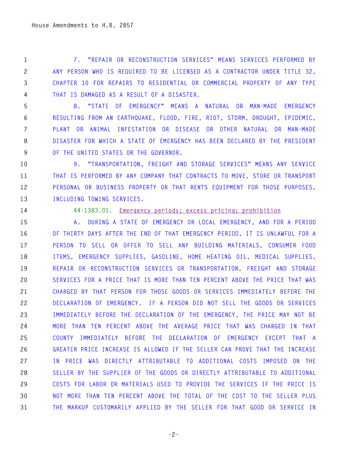7. "REPAIR OR RECONSTRUCTION SERVICES" MEANS SERVICES PERFORMED BY  $\mathbf{1}$  $\mathbf{2}^{\prime}$ ANY PERSON WHO IS REQUIRED TO BE LICENSED AS A CONTRACTOR UNDER TITLE 32.  $\mathfrak{Z}$ CHAPTER 10 FOR REPAIRS TO RESIDENTIAL OR COMMERCIAL PROPERTY OF ANY TYPE  $\overline{4}$ THAT IS DAMAGED AS A RESULT OF A DISASTER.

5 8. "STATE OF EMERGENCY" MEANS A NATURAL OR MAN-MADE EMERGENCY RESULTING FROM AN EARTHQUAKE, FLOOD, FIRE, RIOT, STORM, DROUGHT, EPIDEMIC. 6  $7<sup>1</sup>$ PLANT OR ANIMAL INFESTATION OR DISEASE OR OTHER NATURAL OR MAN-MADE DISASTER FOR WHICH A STATE OF EMERGENCY HAS BEEN DECLARED BY THE PRESIDENT 8 9 OF THE UNITED STATES OR THE GOVERNOR.

9. "TRANSPORTATION, FREIGHT AND STORAGE SERVICES" MEANS ANY SERVICE  $10<sub>1</sub>$ 11 THAT IS PERFORMED BY ANY COMPANY THAT CONTRACTS TO MOVE, STORE OR TRANSPORT  $12<sup>°</sup>$ PERSONAL OR BUSINESS PROPERTY OR THAT RENTS EQUIPMENT FOR THOSE PURPOSES. 13 INCLUDING TOWING SERVICES.

14

#### 44-1383.01. Emergency periods: excess pricing: prohibition

15 A. DURING A STATE OF EMERGENCY OR LOCAL EMERGENCY, AND FOR A PERIOD 16 OF THIRTY DAYS AFTER THE END OF THAT EMERGENCY PERIOD, IT IS UNLAWFUL FOR A 17 PERSON TO SELL OR OFFER TO SELL ANY BUILDING MATERIALS, CONSUMER FOOD 18 ITEMS, EMERGENCY SUPPLIES, GASOLINE, HOME HEATING OIL, MEDICAL SUPPLIES, 19 REPAIR OR RECONSTRUCTION SERVICES OR TRANSPORTATION, FREIGHT AND STORAGE SERVICES FOR A PRICE THAT IS MORE THAN TEN PERCENT ABOVE THE PRICE THAT WAS 20 CHARGED BY THAT PERSON FOR THOSE GOODS OR SERVICES IMMEDIATELY BEFORE THE 21  $22$ DECLARATION OF EMERGENCY. IF A PERSON DID NOT SELL THE GOODS OR SERVICES IMMEDIATELY BEFORE THE DECLARATION OF THE EMERGENCY, THE PRICE MAY NOT BE 23 MORE THAN TEN PERCENT ABOVE THE AVERAGE PRICE THAT WAS CHARGED IN THAT 24 25 COUNTY IMMEDIATELY BEFORE THE DECLARATION OF EMERGENCY EXCEPT THAT A GREATER PRICE INCREASE IS ALLOWED IF THE SELLER CAN PROVE THAT THE INCREASE 26 IN PRICE WAS DIRECTLY ATTRIBUTABLE TO ADDITIONAL COSTS IMPOSED ON THE 27 28 SELLER BY THE SUPPLIER OF THE GOODS OR DIRECTLY ATTRIBUTABLE TO ADDITIONAL 29 COSTS FOR LABOR OR MATERIALS USED TO PROVIDE THE SERVICES IF THE PRICE IS  $30<sup>°</sup>$ NOT MORE THAN TEN PERCENT ABOVE THE TOTAL OF THE COST TO THE SELLER PLUS THE MARKUP CUSTOMARILY APPLIED BY THE SELLER FOR THAT GOOD OR SERVICE IN 31

 $-2-$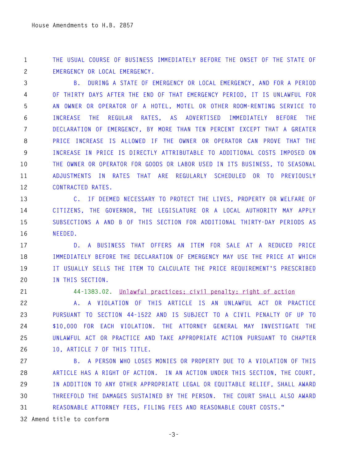THE USUAL COURSE OF BUSINESS IMMEDIATELY BEFORE THE ONSET OF THE STATE OF  $\mathbf{1}$  $2^{\circ}$ EMERGENCY OR LOCAL EMERGENCY.

B. DURING A STATE OF EMERGENCY OR LOCAL EMERGENCY, AND FOR A PERIOD  $\mathbf{3}$  $\overline{4}$ OF THIRTY DAYS AFTER THE END OF THAT EMERGENCY PERIOD, IT IS UNLAWFUL FOR 5 AN OWNER OR OPERATOR OF A HOTEL, MOTEL OR OTHER ROOM-RENTING SERVICE TO 6 INCREASE THE REGULAR RATES, AS ADVERTISED IMMEDIATELY BEFORE THE  $7<sup>1</sup>$ DECLARATION OF EMERGENCY, BY MORE THAN TEN PERCENT EXCEPT THAT A GREATER PRICE INCREASE IS ALLOWED IF THE OWNER OR OPERATOR CAN PROVE THAT THE 8 9 INCREASE IN PRICE IS DIRECTLY ATTRIBUTABLE TO ADDITIONAL COSTS IMPOSED ON THE OWNER OR OPERATOR FOR GOODS OR LABOR USED IN ITS BUSINESS, TO SEASONAL  $10<sub>1</sub>$ 11 ADJUSTMENTS IN RATES THAT ARE REGULARLY SCHEDULED OR TO PREVIOUSLY  $12<sup>°</sup>$ CONTRACTED RATES.

C. IF DEEMED NECESSARY TO PROTECT THE LIVES, PROPERTY OR WELFARE OF 13 CITIZENS, THE GOVERNOR, THE LEGISLATURE OR A LOCAL AUTHORITY MAY APPLY 14 15 SUBSECTIONS A AND B OF THIS SECTION FOR ADDITIONAL THIRTY-DAY PERIODS AS  $16<sup>1</sup>$ NEEDED.

17 D. A BUSINESS THAT OFFERS AN ITEM FOR SALE AT A REDUCED PRICE 18 IMMEDIATELY BEFORE THE DECLARATION OF EMERGENCY MAY USE THE PRICE AT WHICH 19 IT USUALLY SELLS THE ITEM TO CALCULATE THE PRICE REQUIREMENT'S PRESCRIBED 20 IN THIS SECTION.

21

### 44-1383.02. Unlawful practices; civil penalty; right of action

22 A. A VIOLATION OF THIS ARTICLE IS AN UNLAWFUL ACT OR PRACTICE 23 PURSUANT TO SECTION 44-1522 AND IS SUBJECT TO A CIVIL PENALTY OF UP TO 24 \$10,000 FOR EACH VIOLATION. THE ATTORNEY GENERAL MAY INVESTIGATE THE UNLAWFUL ACT OR PRACTICE AND TAKE APPROPRIATE ACTION PURSUANT TO CHAPTER 25 26 10. ARTICLE 7 OF THIS TITLE.

B. A PERSON WHO LOSES MONIES OR PROPERTY DUE TO A VIOLATION OF THIS 27 28 ARTICLE HAS A RIGHT OF ACTION. IN AN ACTION UNDER THIS SECTION, THE COURT, IN ADDITION TO ANY OTHER APPROPRIATE LEGAL OR EQUITABLE RELIEF, SHALL AWARD 29  $30<sup>°</sup>$ THREEFOLD THE DAMAGES SUSTAINED BY THE PERSON. THE COURT SHALL ALSO AWARD  $31$ REASONABLE ATTORNEY FEES, FILING FEES AND REASONABLE COURT COSTS."

32 Amend title to conform

 $-3-$